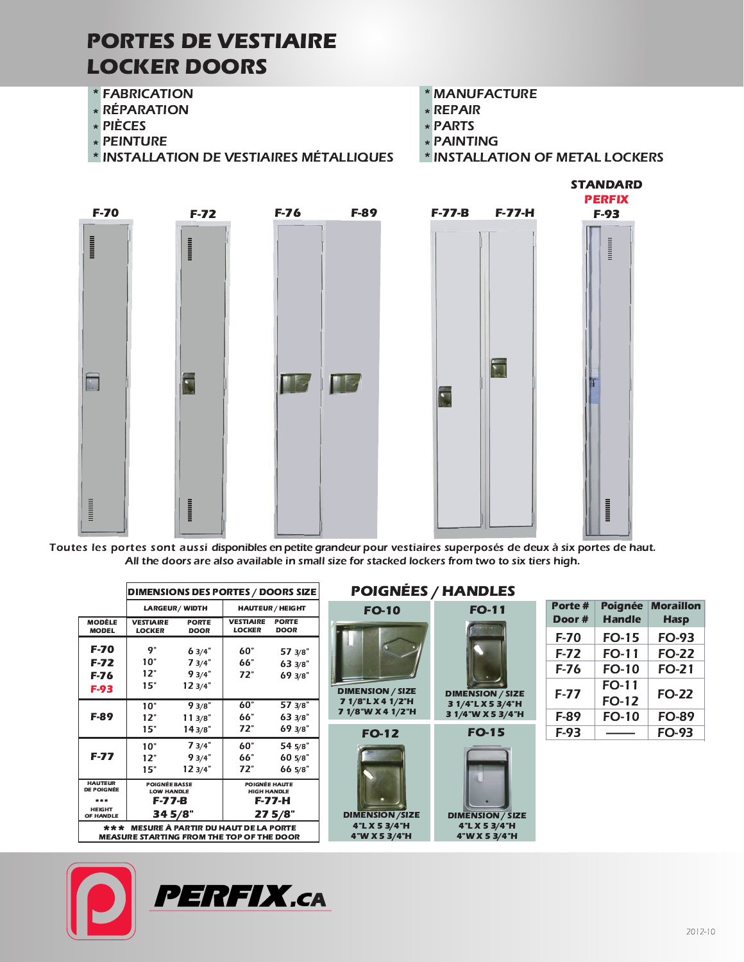## PORTES DE VESTIAIRE LOCKER DOORS

- \* FABRICATION
- \* RÉPARATION
- PIÈCES
- PEINTURE
- \* INSTALLATION DE VESTIAIRES MÉTALLIQUES
- \* MANUFACTURE
- \* REPAIR
- PARTS
- . *. .* . . . . . . . . .
- \* INSTALLATION OF METAL LOCKERS



Toutes les portes sont aussi disponibles en petite grandeur pour vestiaires superposés de deux à six portes de haut. All the doors are also available in small size for stacked lockers from two to six tiers high.

|                                                                                             | <b>DIMENSIONS DES PORTES / DOORS SIZE</b>                             |                         |                                                                       |                             | <b>POIGNÉES / HANDLES</b>                    |                                        |                   |                                 |                          |
|---------------------------------------------------------------------------------------------|-----------------------------------------------------------------------|-------------------------|-----------------------------------------------------------------------|-----------------------------|----------------------------------------------|----------------------------------------|-------------------|---------------------------------|--------------------------|
| <b>MODÈLE</b>                                                                               | LARGEUR / WIDTH<br><b>VESTIAIRE</b><br><b>PORTE</b>                   |                         | <b>HAUTEUR / HEIGHT</b><br><b>VESTIAIRE</b><br><b>PORTE</b>           |                             | <b>FO-10</b>                                 | <b>FO-11</b>                           | Porte #<br>Door # | <b>Poignée</b><br><b>Handle</b> | <b>Moraillon</b><br>Hasp |
| <b>MODEL</b>                                                                                | <b>LOCKER</b>                                                         | <b>DOOR</b>             | <b>LOCKER</b>                                                         | <b>DOOR</b>                 |                                              |                                        | $F-70$            | <b>FO-15</b>                    | <b>FO-93</b>             |
| $F-70$                                                                                      | 9"                                                                    | 63/4                    | 60"                                                                   | 573/8"                      | <b>DIMENSION / SIZE</b><br>7 1/8"L X 4 1/2"H | <b>DIMENSION / SIZE</b>                | $F-72$            | <b>FO-11</b>                    | <b>FO-22</b>             |
| $F-72$<br>$F-76$                                                                            | 10"<br>12"                                                            | 73/4"<br>93/4"          | 66"<br>72"                                                            | 633/8"<br>693/8"            |                                              |                                        | F-76              | <b>FO-10</b>                    | <b>FO-21</b>             |
| <b>F-93</b>                                                                                 | 15"                                                                   | 123/4"                  |                                                                       |                             |                                              |                                        | $F-77$            | <b>FO-11</b><br><b>FO-12</b>    | <b>FO-22</b>             |
| <b>F-89</b>                                                                                 | 10"<br>12"                                                            | 93/8"<br>113/8"         | 60"<br>66"                                                            | 573/8"<br>633/8"            | 7 1/8"W X 4 1/2"H                            | 3 1/4"L X 5 3/4"H<br>3 1/4"W X 5 3/4"H | F-89              | <b>FO-10</b>                    | <b>FO-89</b>             |
|                                                                                             | 15"                                                                   | 143/8"                  | 72"                                                                   | 693/8"                      | <b>FO-12</b>                                 | <b>FO-15</b>                           | F-93              |                                 | <b>FO-93</b>             |
| $F-77$                                                                                      | 10"<br>12"<br>15"                                                     | 73/4<br>93/4"<br>123/4" | 60"<br>66"<br>72"                                                     | 54 5/8"<br>605/8"<br>665/8" |                                              |                                        |                   |                                 |                          |
| <b>HAUTEUR</b><br><b>DE POIGNÉE</b><br>***<br><b>HEIGHT</b><br>OF HANDLE                    | <b>POIGNÉE BASSE</b><br><b>LOW HANDLE</b><br><b>F-77-B</b><br>34 5/8" |                         | <b>POIGNÉE HAUTE</b><br><b>HIGH HANDLE</b><br><b>F-77-H</b><br>275/8" |                             | <b>DIMENSION /SIZE</b>                       | <b>DIMENSION / SIZE</b>                |                   |                                 |                          |
| *** MESURE À PARTIR DU HAUT DE LA PORTE<br><b>MEASURE STARTING FROM THE TOP OF THE DOOR</b> |                                                                       |                         |                                                                       |                             | 4"LX53/4"H<br>$4$ W X 5 3/4 H                | 4"L X 5 3/4"H<br>$4$ "W X 5 3/4"H      |                   |                                 |                          |